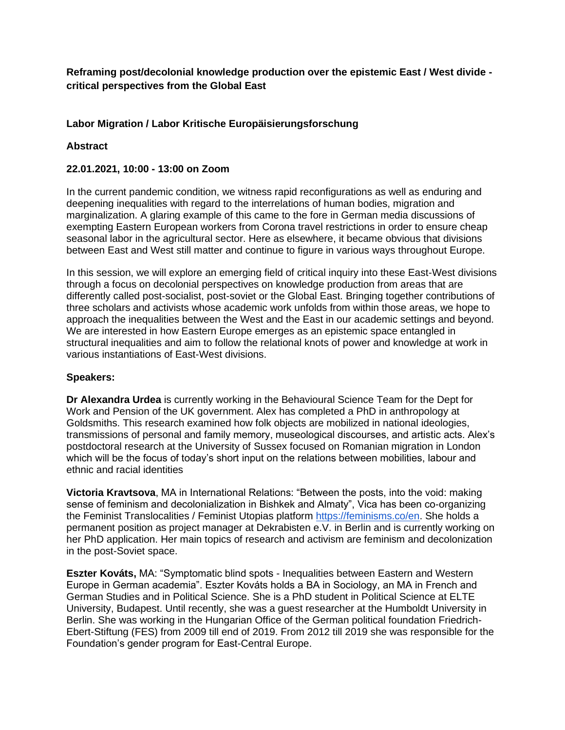**Reframing post/decolonial knowledge production over the epistemic East / West divide critical perspectives from the Global East**

## **Labor Migration / Labor Kritische Europäisierungsforschung**

### **Abstract**

### **22.01.2021, 10:00 - 13:00 on Zoom**

In the current pandemic condition, we witness rapid reconfigurations as well as enduring and deepening inequalities with regard to the interrelations of human bodies, migration and marginalization. A glaring example of this came to the fore in German media discussions of exempting Eastern European workers from Corona travel restrictions in order to ensure cheap seasonal labor in the agricultural sector. Here as elsewhere, it became obvious that divisions between East and West still matter and continue to figure in various ways throughout Europe.

In this session, we will explore an emerging field of critical inquiry into these East-West divisions through a focus on decolonial perspectives on knowledge production from areas that are differently called post-socialist, post-soviet or the Global East. Bringing together contributions of three scholars and activists whose academic work unfolds from within those areas, we hope to approach the inequalities between the West and the East in our academic settings and beyond. We are interested in how Eastern Europe emerges as an epistemic space entangled in structural inequalities and aim to follow the relational knots of power and knowledge at work in various instantiations of East-West divisions.

#### **Speakers:**

**Dr Alexandra Urdea** is currently working in the Behavioural Science Team for the Dept for Work and Pension of the UK government. Alex has completed a PhD in anthropology at Goldsmiths. This research examined how folk objects are mobilized in national ideologies, transmissions of personal and family memory, museological discourses, and artistic acts. Alex's postdoctoral research at the University of Sussex focused on Romanian migration in London which will be the focus of today's short input on the relations between mobilities, labour and ethnic and racial identities

**Victoria Kravtsova**, MA in International Relations: "Between the posts, into the void: making sense of feminism and decolonialization in Bishkek and Almaty", Vica has been co-organizing the Feminist Translocalities / Feminist Utopias platform [https://feminisms.co/en.](https://feminisms.co/en) She holds a permanent position as project manager at Dekrabisten e.V. in Berlin and is currently working on her PhD application. Her main topics of research and activism are feminism and decolonization in the post-Soviet space.

**Eszter Kováts,** MA: "Symptomatic blind spots - Inequalities between Eastern and Western Europe in German academia". Eszter Kováts holds a BA in Sociology, an MA in French and German Studies and in Political Science. She is a PhD student in Political Science at ELTE University, Budapest. Until recently, she was a guest researcher at the Humboldt University in Berlin. She was working in the Hungarian Office of the German political foundation Friedrich-Ebert-Stiftung (FES) from 2009 till end of 2019. From 2012 till 2019 she was responsible for the Foundation's gender program for East-Central Europe.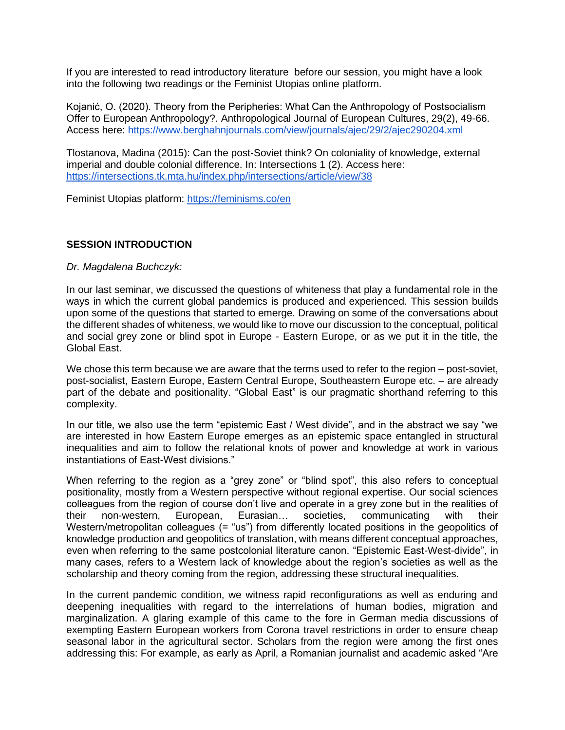If you are interested to read introductory literature before our session, you might have a look into the following two readings or the Feminist Utopias online platform.

Kojanić, O. (2020). Theory from the Peripheries: What Can the Anthropology of Postsocialism Offer to European Anthropology?. Anthropological Journal of European Cultures, 29(2), 49-66. Access here:<https://www.berghahnjournals.com/view/journals/ajec/29/2/ajec290204.xml>

Tlostanova, Madina (2015): Can the post-Soviet think? On coloniality of knowledge, external imperial and double colonial difference. In: Intersections 1 (2). Access here: <https://intersections.tk.mta.hu/index.php/intersections/article/view/38>

Feminist Utopias platform:<https://feminisms.co/en>

### **SESSION INTRODUCTION**

#### *Dr. Magdalena Buchczyk:*

In our last seminar, we discussed the questions of whiteness that play a fundamental role in the ways in which the current global pandemics is produced and experienced. This session builds upon some of the questions that started to emerge. Drawing on some of the conversations about the different shades of whiteness, we would like to move our discussion to the conceptual, political and social grey zone or blind spot in Europe - Eastern Europe, or as we put it in the title, the Global East.

We chose this term because we are aware that the terms used to refer to the region – post-soviet, post-socialist, Eastern Europe, Eastern Central Europe, Southeastern Europe etc. – are already part of the debate and positionality. "Global East" is our pragmatic shorthand referring to this complexity.

In our title, we also use the term "epistemic East / West divide", and in the abstract we say "we are interested in how Eastern Europe emerges as an epistemic space entangled in structural inequalities and aim to follow the relational knots of power and knowledge at work in various instantiations of East-West divisions."

When referring to the region as a "grey zone" or "blind spot", this also refers to conceptual positionality, mostly from a Western perspective without regional expertise. Our social sciences colleagues from the region of course don't live and operate in a grey zone but in the realities of their non-western, European, Eurasian… societies, communicating with their Western/metropolitan colleagues (= "us") from differently located positions in the geopolitics of knowledge production and geopolitics of translation, with means different conceptual approaches, even when referring to the same postcolonial literature canon. "Epistemic East-West-divide", in many cases, refers to a Western lack of knowledge about the region's societies as well as the scholarship and theory coming from the region, addressing these structural inequalities.

In the current pandemic condition, we witness rapid reconfigurations as well as enduring and deepening inequalities with regard to the interrelations of human bodies, migration and marginalization. A glaring example of this came to the fore in German media discussions of exempting Eastern European workers from Corona travel restrictions in order to ensure cheap seasonal labor in the agricultural sector. Scholars from the region were among the first ones addressing this: For example, as early as April, a Romanian journalist and academic asked "Are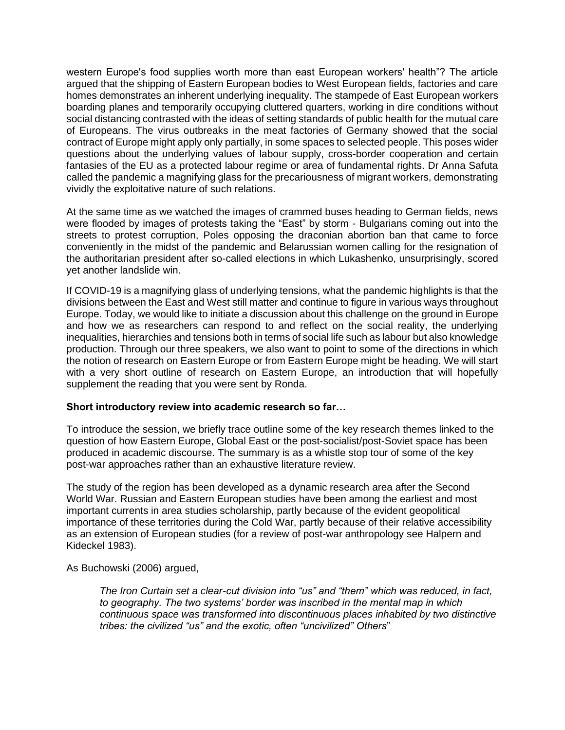western Europe's food supplies worth more than east European workers' health"? The article argued that the shipping of Eastern European bodies to West European fields, factories and care homes demonstrates an inherent underlying inequality. The stampede of East European workers boarding planes and temporarily occupying cluttered quarters, working in dire conditions without social distancing contrasted with the ideas of setting standards of public health for the mutual care of Europeans. The virus outbreaks in the meat factories of Germany showed that the social contract of Europe might apply only partially, in some spaces to selected people. This poses wider questions about the underlying values of labour supply, cross-border cooperation and certain fantasies of the EU as a protected labour regime or area of fundamental rights. Dr Anna Safuta called the pandemic a magnifying glass for the precariousness of migrant workers, demonstrating vividly the exploitative nature of such relations.

At the same time as we watched the images of crammed buses heading to German fields, news were flooded by images of protests taking the "East" by storm - Bulgarians coming out into the streets to protest corruption, Poles opposing the draconian abortion ban that came to force conveniently in the midst of the pandemic and Belarussian women calling for the resignation of the authoritarian president after so-called elections in which Lukashenko, unsurprisingly, scored yet another landslide win.

If COVID-19 is a magnifying glass of underlying tensions, what the pandemic highlights is that the divisions between the East and West still matter and continue to figure in various ways throughout Europe. Today, we would like to initiate a discussion about this challenge on the ground in Europe and how we as researchers can respond to and reflect on the social reality, the underlying inequalities, hierarchies and tensions both in terms of social life such as labour but also knowledge production. Through our three speakers, we also want to point to some of the directions in which the notion of research on Eastern Europe or from Eastern Europe might be heading. We will start with a very short outline of research on Eastern Europe, an introduction that will hopefully supplement the reading that you were sent by Ronda.

#### **Short introductory review into academic research so far…**

To introduce the session, we briefly trace outline some of the key research themes linked to the question of how Eastern Europe, Global East or the post-socialist/post-Soviet space has been produced in academic discourse. The summary is as a whistle stop tour of some of the key post-war approaches rather than an exhaustive literature review.

The study of the region has been developed as a dynamic research area after the Second World War. Russian and Eastern European studies have been among the earliest and most important currents in area studies scholarship, partly because of the evident geopolitical importance of these territories during the Cold War, partly because of their relative accessibility as an extension of European studies (for a review of post-war anthropology see Halpern and Kideckel 1983).

As Buchowski (2006) argued,

*The Iron Curtain set a clear-cut division into "us" and "them" which was reduced, in fact, to geography. The two systems' border was inscribed in the mental map in which continuous space was transformed into discontinuous places inhabited by two distinctive tribes: the civilized "us" and the exotic, often "uncivilized" Others*"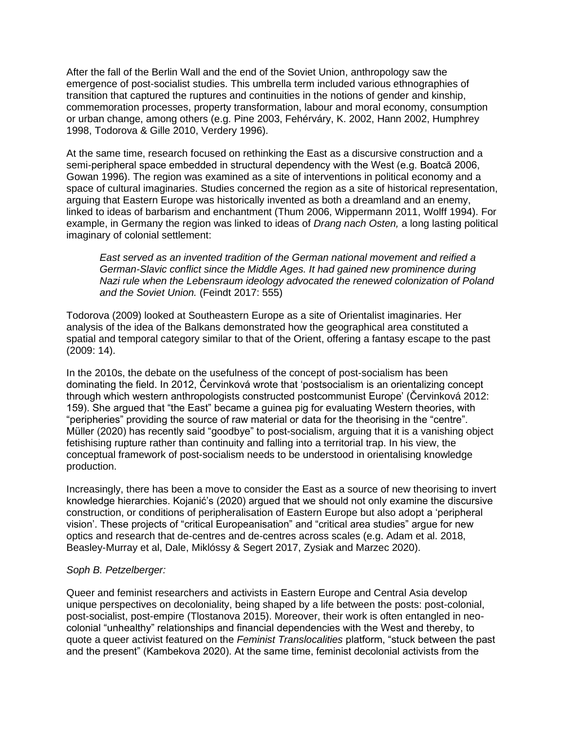After the fall of the Berlin Wall and the end of the Soviet Union, anthropology saw the emergence of post-socialist studies. This umbrella term included various ethnographies of transition that captured the ruptures and continuities in the notions of gender and kinship, commemoration processes, property transformation, labour and moral economy, consumption or urban change, among others (e.g. Pine 2003, Fehérváry, K. 2002, Hann 2002, Humphrey 1998, Todorova & Gille 2010, Verdery 1996).

At the same time, research focused on rethinking the East as a discursive construction and a semi-peripheral space embedded in structural dependency with the West (e.g. Boatcă 2006, Gowan 1996). The region was examined as a site of interventions in political economy and a space of cultural imaginaries. Studies concerned the region as a site of historical representation, arguing that Eastern Europe was historically invented as both a dreamland and an enemy, linked to ideas of barbarism and enchantment (Thum 2006, Wippermann 2011, Wolff 1994). For example, in Germany the region was linked to ideas of *Drang nach Osten,* a long lasting political imaginary of colonial settlement:

*East served as an invented tradition of the German national movement and reified a German-Slavic conflict since the Middle Ages. It had gained new prominence during Nazi rule when the Lebensraum ideology advocated the renewed colonization of Poland and the Soviet Union.* (Feindt 2017: 555)

Todorova (2009) looked at Southeastern Europe as a site of Orientalist imaginaries. Her analysis of the idea of the Balkans demonstrated how the geographical area constituted a spatial and temporal category similar to that of the Orient, offering a fantasy escape to the past (2009: 14).

In the 2010s, the debate on the usefulness of the concept of post-socialism has been dominating the field. In 2012, Červinková wrote that 'postsocialism is an orientalizing concept through which western anthropologists constructed postcommunist Europe' (Červinková 2012: 159). She argued that "the East" became a guinea pig for evaluating Western theories, with "peripheries" providing the source of raw material or data for the theorising in the "centre". Müller (2020) has recently said "goodbye" to post-socialism, arguing that it is a vanishing object fetishising rupture rather than continuity and falling into a territorial trap. In his view, the conceptual framework of post-socialism needs to be understood in orientalising knowledge production.

Increasingly, there has been a move to consider the East as a source of new theorising to invert knowledge hierarchies. Kojanić's (2020) argued that we should not only examine the discursive construction, or conditions of peripheralisation of Eastern Europe but also adopt a 'peripheral vision'. These projects of "critical Europeanisation" and "critical area studies" argue for new optics and research that de-centres and de-centres across scales (e.g. Adam et al. 2018, Beasley-Murray et al, Dale, Miklóssy & Segert 2017, Zysiak and Marzec 2020).

### *Soph B. Petzelberger:*

Queer and feminist researchers and activists in Eastern Europe and Central Asia develop unique perspectives on decoloniality, being shaped by a life between the posts: post-colonial, post-socialist, post-empire (Tlostanova 2015). Moreover, their work is often entangled in neocolonial "unhealthy" relationships and financial dependencies with the West and thereby, to quote a queer activist featured on the *Feminist Translocalities* platform, "stuck between the past and the present" (Kambekova 2020). At the same time, feminist decolonial activists from the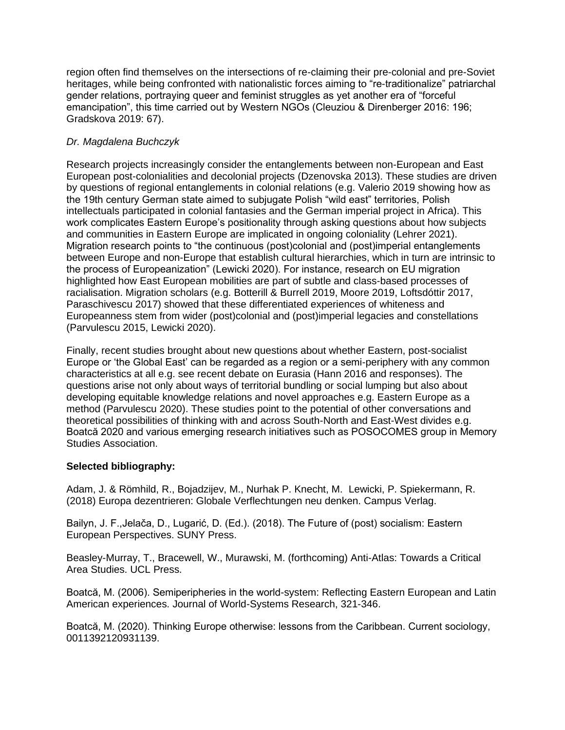region often find themselves on the intersections of re-claiming their pre-colonial and pre-Soviet heritages, while being confronted with nationalistic forces aiming to "re-traditionalize" patriarchal gender relations, portraying queer and feminist struggles as yet another era of "forceful emancipation", this time carried out by Western NGOs (Cleuziou & Direnberger 2016: 196; Gradskova 2019: 67).

# *Dr. Magdalena Buchczyk*

Research projects increasingly consider the entanglements between non-European and East European post-colonialities and decolonial projects (Dzenovska 2013). These studies are driven by questions of regional entanglements in colonial relations (e.g. Valerio 2019 showing how as the 19th century German state aimed to subjugate Polish "wild east" territories, Polish intellectuals participated in colonial fantasies and the German imperial project in Africa). This work complicates Eastern Europe's positionality through asking questions about how subjects and communities in Eastern Europe are implicated in ongoing coloniality (Lehrer 2021). Migration research points to "the continuous (post)colonial and (post)imperial entanglements between Europe and non-Europe that establish cultural hierarchies, which in turn are intrinsic to the process of Europeanization" (Lewicki 2020). For instance, research on EU migration highlighted how East European mobilities are part of subtle and class-based processes of racialisation. Migration scholars (e.g. Botterill & Burrell 2019, Moore 2019, Loftsdóttir 2017, Paraschivescu 2017) showed that these differentiated experiences of whiteness and Europeanness stem from wider (post)colonial and (post)imperial legacies and constellations (Parvulescu 2015, Lewicki 2020).

Finally, recent studies brought about new questions about whether Eastern, post-socialist Europe or 'the Global East' can be regarded as a region or a semi-periphery with any common characteristics at all e.g. see recent debate on Eurasia (Hann 2016 and responses). The questions arise not only about ways of territorial bundling or social lumping but also about developing equitable knowledge relations and novel approaches e.g. Eastern Europe as a method (Parvulescu 2020). These studies point to the potential of other conversations and theoretical possibilities of thinking with and across South-North and East-West divides e.g. Boatcă 2020 and various emerging research initiatives such as POSOCOMES group in Memory Studies Association.

### **Selected bibliography:**

Adam, J. & Römhild, R., Bojadzijev, M., Nurhak P. Knecht, M. Lewicki, P. Spiekermann, R. (2018) Europa dezentrieren: Globale Verflechtungen neu denken. Campus Verlag.

Bailyn, J. F.,Jelača, D., Lugarić, D. (Ed.). (2018). The Future of (post) socialism: Eastern European Perspectives. SUNY Press.

Beasley-Murray, T., Bracewell, W., Murawski, M. (forthcoming) Anti-Atlas: Towards a Critical Area Studies. UCL Press.

Boatcă, M. (2006). Semiperipheries in the world-system: Reflecting Eastern European and Latin American experiences. Journal of World-Systems Research, 321-346.

Boatcă, M. (2020). Thinking Europe otherwise: lessons from the Caribbean. Current sociology, 0011392120931139.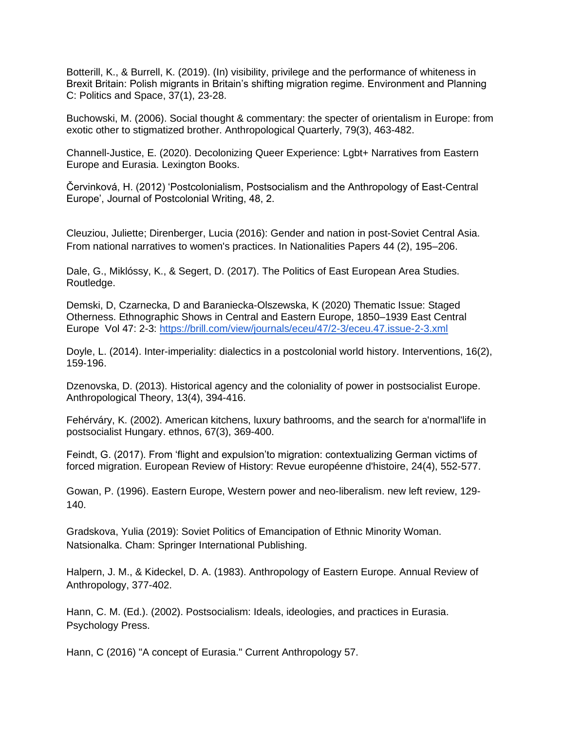Botterill, K., & Burrell, K. (2019). (In) visibility, privilege and the performance of whiteness in Brexit Britain: Polish migrants in Britain's shifting migration regime. Environment and Planning C: Politics and Space, 37(1), 23-28.

Buchowski, M. (2006). Social thought & commentary: the specter of orientalism in Europe: from exotic other to stigmatized brother. Anthropological Quarterly, 79(3), 463-482.

Channell-Justice, E. (2020). Decolonizing Queer Experience: Lgbt+ Narratives from Eastern Europe and Eurasia. Lexington Books.

Červinková, H. (2012) 'Postcolonialism, Postsocialism and the Anthropology of East-Central Europe', Journal of Postcolonial Writing, 48, 2.

Cleuziou, Juliette; Direnberger, Lucia (2016): Gender and nation in post-Soviet Central Asia. From national narratives to women's practices. In Nationalities Papers 44 (2), 195–206.

Dale, G., Miklóssy, K., & Segert, D. (2017). The Politics of East European Area Studies. Routledge.

Demski, D, Czarnecka, D and Baraniecka-Olszewska, K (2020) Thematic Issue: Staged Otherness. Ethnographic Shows in Central and Eastern Europe, 1850–1939 East Central Europe Vol 47: 2-3: <https://brill.com/view/journals/eceu/47/2-3/eceu.47.issue-2-3.xml>

Doyle, L. (2014). Inter-imperiality: dialectics in a postcolonial world history. Interventions, 16(2), 159-196.

Dzenovska, D. (2013). Historical agency and the coloniality of power in postsocialist Europe. Anthropological Theory, 13(4), 394-416.

Fehérváry, K. (2002). American kitchens, luxury bathrooms, and the search for a'normal'life in postsocialist Hungary. ethnos, 67(3), 369-400.

Feindt, G. (2017). From 'flight and expulsion'to migration: contextualizing German victims of forced migration. European Review of History: Revue européenne d'histoire, 24(4), 552-577.

Gowan, P. (1996). Eastern Europe, Western power and neo-liberalism. new left review, 129- 140.

Gradskova, Yulia (2019): Soviet Politics of Emancipation of Ethnic Minority Woman. Natsionalka. Cham: Springer International Publishing.

Halpern, J. M., & Kideckel, D. A. (1983). Anthropology of Eastern Europe. Annual Review of Anthropology, 377-402.

Hann, C. M. (Ed.). (2002). Postsocialism: Ideals, ideologies, and practices in Eurasia. Psychology Press.

Hann, C (2016) "A concept of Eurasia." Current Anthropology 57.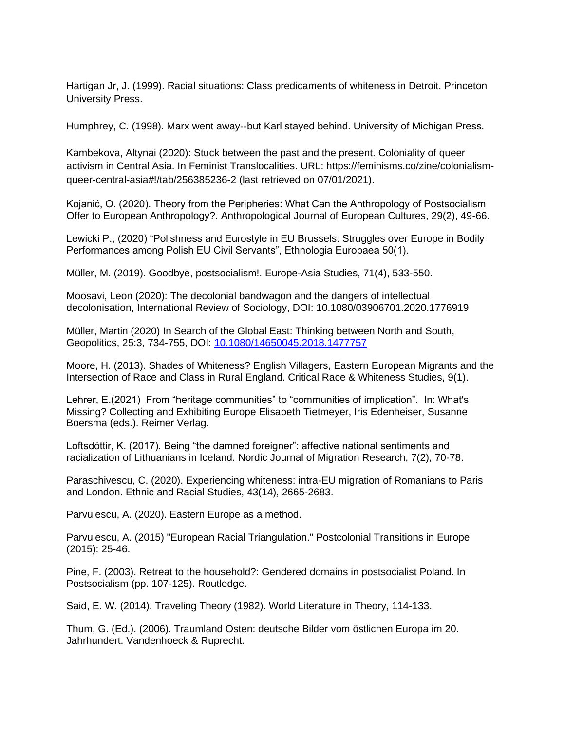Hartigan Jr, J. (1999). Racial situations: Class predicaments of whiteness in Detroit. Princeton University Press.

Humphrey, C. (1998). Marx went away--but Karl stayed behind. University of Michigan Press.

Kambekova, Altynai (2020): Stuck between the past and the present. Coloniality of queer activism in Central Asia. In Feminist Translocalities. URL: https://feminisms.co/zine/colonialismqueer-central-asia#!/tab/256385236-2 (last retrieved on 07/01/2021).

Kojanić, O. (2020). Theory from the Peripheries: What Can the Anthropology of Postsocialism Offer to European Anthropology?. Anthropological Journal of European Cultures, 29(2), 49-66.

Lewicki P., (2020) "Polishness and Eurostyle in EU Brussels: Struggles over Europe in Bodily Performances among Polish EU Civil Servants", Ethnologia Europaea 50(1).

Müller, M. (2019). Goodbye, postsocialism!. Europe-Asia Studies, 71(4), 533-550.

Moosavi, Leon (2020): The decolonial bandwagon and the dangers of intellectual decolonisation, International Review of Sociology, DOI: 10.1080/03906701.2020.1776919

Müller, Martin (2020) In Search of the Global East: Thinking between North and South, Geopolitics, 25:3, 734-755, DOI[:](https://doi.org/10.1080/14650045.2018.1477757) [10.1080/14650045.2018.1477757](https://doi.org/10.1080/14650045.2018.1477757)

Moore, H. (2013). Shades of Whiteness? English Villagers, Eastern European Migrants and the Intersection of Race and Class in Rural England. Critical Race & Whiteness Studies, 9(1).

Lehrer, E.(2021) From "heritage communities" to "communities of implication". In: What's Missing? Collecting and Exhibiting Europe Elisabeth Tietmeyer, Iris Edenheiser, Susanne Boersma (eds.). Reimer Verlag.

Loftsdóttir, K. (2017). Being "the damned foreigner": affective national sentiments and racialization of Lithuanians in Iceland. Nordic Journal of Migration Research, 7(2), 70-78.

Paraschivescu, C. (2020). Experiencing whiteness: intra-EU migration of Romanians to Paris and London. Ethnic and Racial Studies, 43(14), 2665-2683.

Parvulescu, A. (2020). Eastern Europe as a method.

Parvulescu, A. (2015) "European Racial Triangulation." Postcolonial Transitions in Europe (2015): 25-46.

Pine, F. (2003). Retreat to the household?: Gendered domains in postsocialist Poland. In Postsocialism (pp. 107-125). Routledge.

Said, E. W. (2014). Traveling Theory (1982). World Literature in Theory, 114-133.

Thum, G. (Ed.). (2006). Traumland Osten: deutsche Bilder vom östlichen Europa im 20. Jahrhundert. Vandenhoeck & Ruprecht.